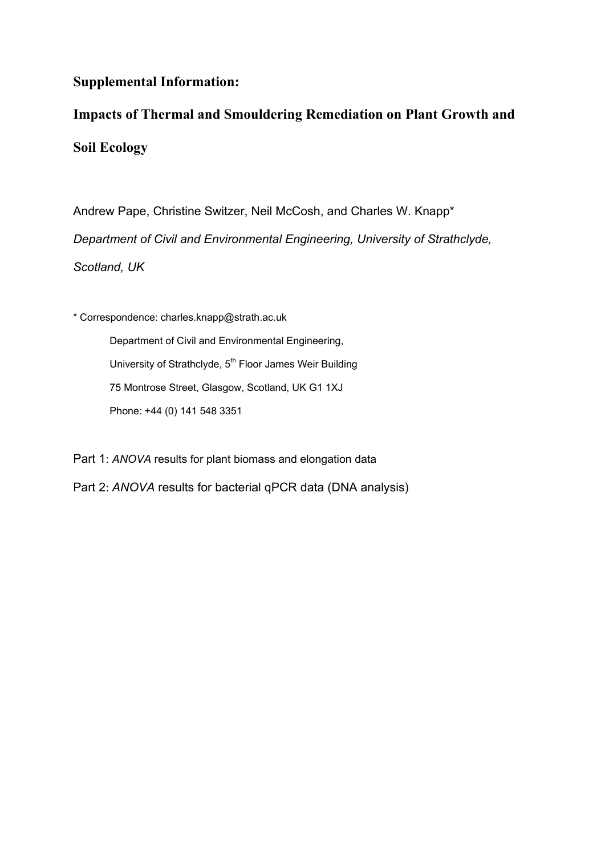# **Supplemental Information:**

# **Impacts of Thermal and Smouldering Remediation on Plant Growth and Soil Ecology**

Andrew Pape, Christine Switzer, Neil McCosh, and Charles W. Knapp\* *Department of Civil and Environmental Engineering, University of Strathclyde, Scotland, UK*

\* Correspondence: [charles.knapp@strath.ac.uk](mailto:charles.knapp@strath.ac.uk)

Department of Civil and Environmental Engineering, University of Strathclyde, 5<sup>th</sup> Floor James Weir Building 75 Montrose Street, Glasgow, Scotland, UK G1 1XJ Phone: +44 (0) 141 548 3351

Part 1: *ANOVA* results for plant biomass and elongation data

Part 2: *ANOVA* results for bacterial qPCR data (DNA analysis)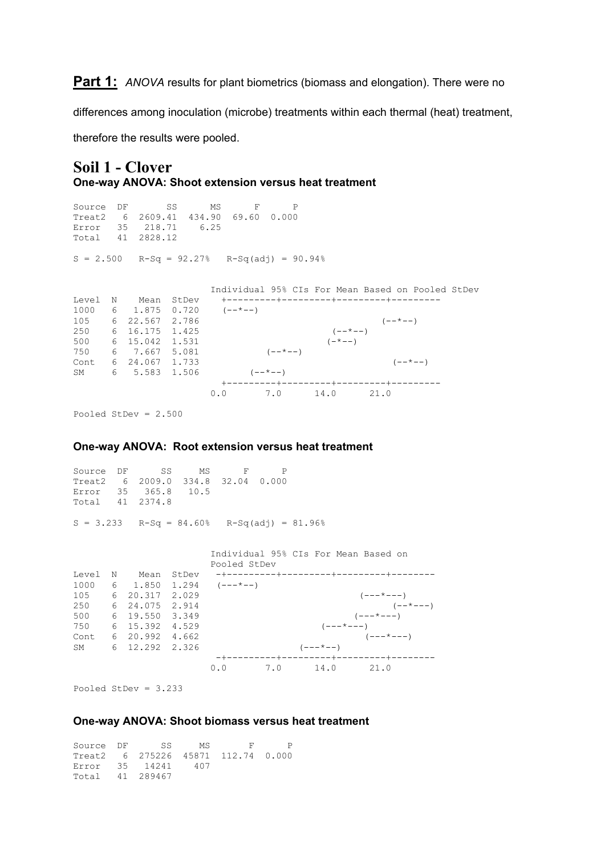**Part 1:** ANOVA results for plant biometrics (biomass and elongation). There were no

differences among inoculation (microbe) treatments within each thermal (heat) treatment,

therefore the results were pooled.

# **Soil 1 - Clover One-way ANOVA: Shoot extension versus heat treatment**

Source DF SS MS F P Treat2 6 2609.41 434.90 69.60 0.000 Error 35 218.71 6.25 Total 41 2828.12  $S = 2.500$  R-Sq = 92.27% R-Sq(adj) = 90.94% Individual 95% CIs For Mean Based on Pooled StDev Level N Mean StDev +---------+---------+---------+---------  $1000 \t 6 \t 1.875 \t 0.720 \t (--*--)$  $105$  6 22.567 2.786 (--\*--) 250 6 16.175 1.425 (--\*--) 500 6 15.042 1.531 (-\*--)  $750 \t\t 6 \t\t 7.667 \t\t 5.081 \t\t (- $+$  - -)$ Cont 6 24.067 1.733 (--\*--) SM 6 5.583 1.506  $(- - \times - -)$  +---------+---------+---------+--------- 0.0 7.0 14.0 21.0

Pooled StDev = 2.500

#### **One-way ANOVA: Root extension versus heat treatment**

Source DF SS MS F P Treat2 6 2009.0 334.8 32.04 0.000 Error 35 365.8 10.5 Total 41 2374.8  $S = 3.233$   $R-Sq = 84.60%$   $R-Sq(adj) = 81.96%$  Individual 95% CIs For Mean Based on Pooled StDev Level N Mean StDev -+---------+---------+---------+-------- 1000 6 1.850 1.294 105 6 20.317 2.029 (---\*---) 250 6 24.075 2.914 (--\*---) 500 6 19.550 3.349 (---\*---) 750 6 15.392 4.529 (---\*---)  $\text{Cont } 6 \quad 20.992 \quad 4.662$  (---\*---) SM 6 12.292 2.326 (---\*--) -+---------+---------+---------+-------- 0.0 7.0 14.0 21.0

Pooled StDev = 3.233

### **One-way ANOVA: Shoot biomass versus heat treatment**

Source DF SS MS F P Treat2 6 275226 45871 112.74 0.000 Error 35 14241 407 Total 41 289467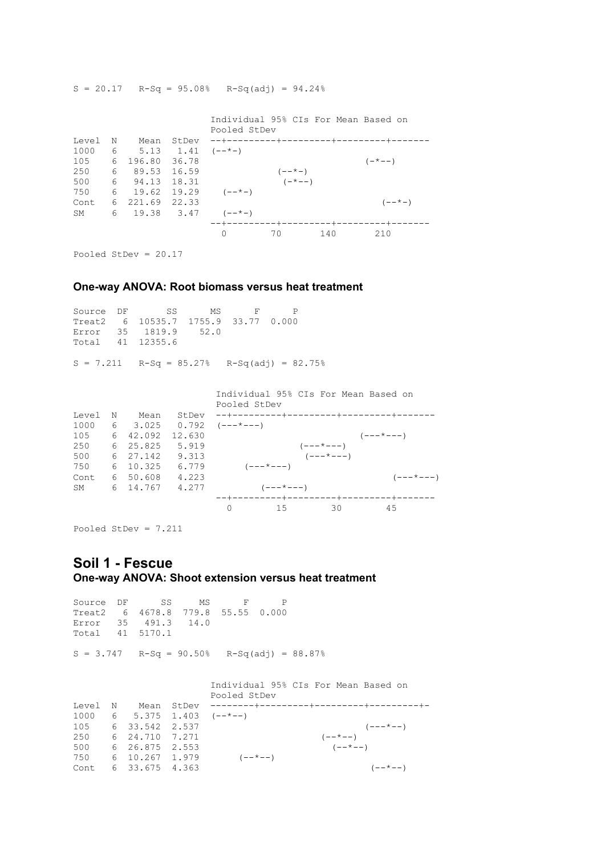|       |   |                              |       | Pooled StDev                            |             |     | Individual 95% CIs For Mean Based on    |
|-------|---|------------------------------|-------|-----------------------------------------|-------------|-----|-----------------------------------------|
| Level | N | Mean                         | StDev |                                         |             |     | --+---------+---------+---------+-----+ |
| 1000  |   | 6 5.13 1.41 $(- - \times -)$ |       |                                         |             |     |                                         |
| 105   | 6 | 196.80 36.78                 |       |                                         |             |     | $(- \times - -)$                        |
| 250   | 6 | 89.53 16.59                  |       |                                         | $(- - * -)$ |     |                                         |
| 500   |   | 6 94.13                      | 18.31 |                                         | $(-*--)$    |     |                                         |
| 750   | 6 |                              |       | $19.62$ $19.29$ $(--(-))$               |             |     |                                         |
| Cont  |   | 6 221.69 22.33               |       |                                         |             |     | $(- - * -)$                             |
| SM    |   |                              |       | $6\qquad 19.38\qquad 3.47\qquad (--*-)$ |             |     |                                         |
|       |   |                              |       |                                         |             |     | --+---------+----------+-------+----+   |
|       |   |                              |       |                                         | 70          | 140 | 210                                     |

Pooled StDev = 20.17

### **One-way ANOVA: Root biomass versus heat treatment**

|  | Source DF SS MS F                   |  |  |
|--|-------------------------------------|--|--|
|  | Treat2 6 10535.7 1755.9 33.77 0.000 |  |  |
|  | Error 35 1819.9 52.0                |  |  |
|  | Total 41 12355.6                    |  |  |

 $S = 20.17$  R-Sq = 95.08% R-Sq(adj) = 94.24%

 $S = 7.211$   $R-Sq = 85.27%$   $R-Sq(adj) = 82.75%$ 

|       |   |          |        | Individual 95% CIs For Mean Based on |                   |                        |                        |                   |
|-------|---|----------|--------|--------------------------------------|-------------------|------------------------|------------------------|-------------------|
|       |   |          |        | Pooled StDev                         |                   |                        |                        |                   |
| Level | N | Mean     | StDev  |                                      |                   |                        |                        |                   |
| 1000  |   | 6 3.025  | 0.792  | $(- - - \times - - -)$               |                   |                        |                        |                   |
| 105   | 6 | 42.092   | 12.630 |                                      |                   |                        | $(- - - \times - - -)$ |                   |
| 250   |   | 6 25.825 | 5.919  |                                      |                   | $(- - - \times - - -)$ |                        |                   |
| 500   |   | 6 27.142 | 9.313  |                                      |                   | $(- - - * - - -)$      |                        |                   |
| 750   |   | 6 10.325 | 6.779  |                                      | $(- - - * - - -)$ |                        |                        |                   |
| Cont  |   | 6 50.608 | 4.223  |                                      |                   |                        |                        | $(- - - * - - -)$ |
| SM    |   | 6 14.767 | 4.277  |                                      | $(- - - * - - -)$ |                        |                        |                   |
|       |   |          |        | --+---------+----------+-------+---- |                   |                        |                        |                   |
|       |   |          |        |                                      | 15                | 30                     | 45                     |                   |

Pooled StDev = 7.211

# **Soil 1 - Fescue One-way ANOVA: Shoot extension versus heat treatment**

Source DF SS MS F P Treat2 6 4678.8 779.8 55.55 0.000 Error 35 491.3 14.0 Total 41 5170.1  $S = 3.747$   $R-Sq = 90.50%$   $R-Sq(adj) = 88.87%$  Individual 95% CIs For Mean Based on Pooled StDev Level N Mean StDev --------+---------+---------+---------+- 1000 6 5.375 1.403  $(-+(-))$  $105$  6 33.542 2.537 (---\*--)  $250$  6 24.710 7.271 (--\*--) 500 6 26.875 2.553 ( $-$ \*--) 750 6 10.267 1.979  $(- - * - )$  $\text{Cont } 6 \quad 33.675 \quad 4.363$  (--\*--)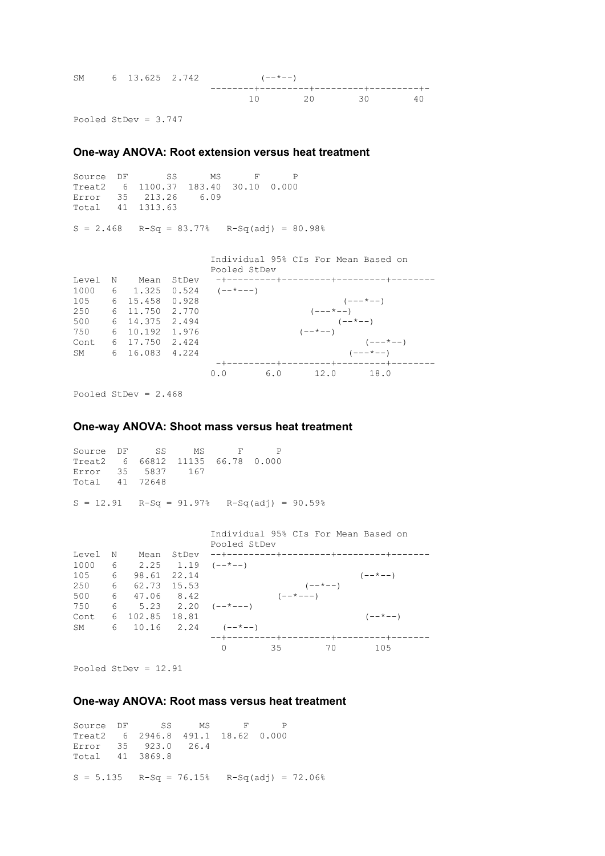| SM 6 13.625 2.742 |  | $(- - * - -)$ |             |  |
|-------------------|--|---------------|-------------|--|
|                   |  |               | 10 20 30 40 |  |

Pooled StDev = 3.747

# **One-way ANOVA: Root extension versus heat treatment**

Source DF SS MS F P Treat2 6 1100.37 183.40 30.10 0.000 Error 35 213.26 6.09 Total 41 1313.63

 $S = 2.468$   $R-Sq = 83.77%$   $R-Sq(adj) = 80.98%$ 

|       |   |                  |       | Individual 95% CIs For Mean Based on<br>Pooled StDev |  |               |                      |                      |  |
|-------|---|------------------|-------|------------------------------------------------------|--|---------------|----------------------|----------------------|--|
| Level | N | Mean             | StDev |                                                      |  |               |                      |                      |  |
| 1000  |   |                  |       | $6 \quad 1.325 \quad 0.524 \quad (- - \frac{+}{-})$  |  |               |                      |                      |  |
| 105 — |   | 6 15.458 0.928   |       |                                                      |  |               |                      | $(- - - \times - -)$ |  |
| 250   |   | 6 11,750 2,770   |       |                                                      |  |               | $(- - - \times - -)$ |                      |  |
| 500   |   | 6 14, 375 2, 494 |       |                                                      |  |               | $(- - * - -)$        |                      |  |
| 750   |   | 6 10.192 1.976   |       |                                                      |  | $(- - * - -)$ |                      |                      |  |
| Cont  |   | 6 17.750 2.424   |       |                                                      |  |               |                      | $(- - - * - -)$      |  |
| SM    |   | 6 16.083 4.224   |       |                                                      |  |               |                      | $(- - - * - -)$      |  |
|       |   |                  |       |                                                      |  |               |                      |                      |  |
|       |   |                  |       | 0.0                                                  |  |               |                      | 6.0 12.0 18.0        |  |

Pooled StDev = 2.468

#### **One-way ANOVA: Shoot mass versus heat treatment**

Source DF SS MS F P Treat2 6 66812 11135 66.78 0.000 Error 35 5837 167 Total 41 72648  $S = 12.91$   $R-Sq = 91.97%$   $R-Sq(adj) = 90.59%$  Individual 95% CIs For Mean Based on Pooled StDev Level N Mean StDev --+---------+---------+---------+------- 1000 6 2.25 1.19  $(-+(-))$  $105$  6 98.61 22.14 (--\*--) 250 6 62.73 15.53 (--\*--) 500 6 47.06 8.42  $(- - \times - -)$ 750 6 5.23 2.20  $(-+(-)$ Cont 6 102.85 18.81 (--\*--) SM 6 10.16 2.24  $(- - * - )$ --+---------+---------+---------+-------

0 35 70 105

Pooled StDev = 12.91

#### **One-way ANOVA: Root mass versus heat treatment**

Source DF SS MS F P Treat2 6 2946.8 491.1 18.62 0.000 Error 35 923.0 26.4 Total 41 3869.8  $S = 5.135$  R-Sq = 76.15% R-Sq(adj) = 72.06%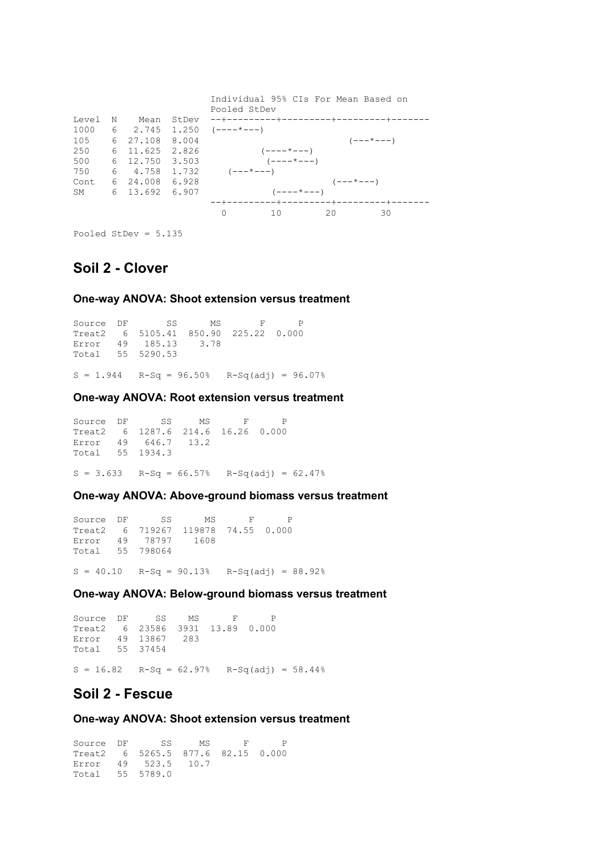|           |   |          |       |                        | Individual 95% CIs For Mean Based on  |              |    |                   |                   |  |
|-----------|---|----------|-------|------------------------|---------------------------------------|--------------|----|-------------------|-------------------|--|
|           |   |          |       | Pooled StDev           |                                       |              |    |                   |                   |  |
| Level     | N | Mean     | StDev |                        |                                       |              |    |                   |                   |  |
| 1000      |   | 6 2.745  | 1.250 | $(----+---)$           |                                       |              |    |                   |                   |  |
| 105       |   | 6 27.108 | 8.004 |                        |                                       |              |    |                   | $(- - - * - - -)$ |  |
| 250       |   | 6 11.625 | 2.826 |                        | $(- - - - \times - - -)$              |              |    |                   |                   |  |
| 500       |   | 6 12.750 | 3.503 |                        | $(----+---)$                          |              |    |                   |                   |  |
| 750       |   | 6 4.758  | 1.732 | $(- - - \times - - -)$ |                                       |              |    |                   |                   |  |
| Cont      |   | 6 24,008 | 6.928 |                        |                                       |              |    | $(- - - * - - -)$ |                   |  |
| <b>SM</b> |   | 6 13.692 | 6.907 |                        |                                       | $(----+---)$ |    |                   |                   |  |
|           |   |          |       |                        | --+---------+----------+-------+----- |              |    |                   |                   |  |
|           |   |          |       | $\bigcap$              | 10                                    |              | 20 |                   | 30                |  |

Pooled StDev = 5.135

# **Soil 2 - Clover**

# **One-way ANOVA: Shoot extension versus treatment**

Source DF SS MS F P Treat2 6 5105.41 850.90 225.22 0.000 Error 49 185.13 3.78 Total 55 5290.53

# $S = 1.944$   $R-Sq = 96.50%$   $R-Sq(adj) = 96.07%$

# **One-way ANOVA: Root extension versus treatment**

Source DF SS MS F P Treat2 6 1287.6 214.6 16.26 0.000 Error 49 646.7 13.2 Total 55 1934.3  $S = 3.633$  R-Sq = 66.57% R-Sq(adj) = 62.47%

# **One-way ANOVA: Above-ground biomass versus treatment**

Source DF SS MS F P Treat2 6 719267 119878 74.55 0.000 Error 49 78797 1608 Total 55 798064  $S = 40.10$   $R-Sq = 90.13%$   $R-Sq(adj) = 88.92%$ 

**One-way ANOVA: Below-ground biomass versus treatment**

Source DF SS MS F P Treat2 6 23586 3931 13.89 0.000 Error 49 13867 283 Total 55 37454

 $S = 16.82$  R-Sq = 62.97% R-Sq(adj) = 58.44%

# **Soil 2 - Fescue**

**One-way ANOVA: Shoot extension versus treatment**

Source DF SS MS F P Treat2 6 5265.5 877.6 82.15 0.000 Error 49 523.5 10.7 Total 55 5789.0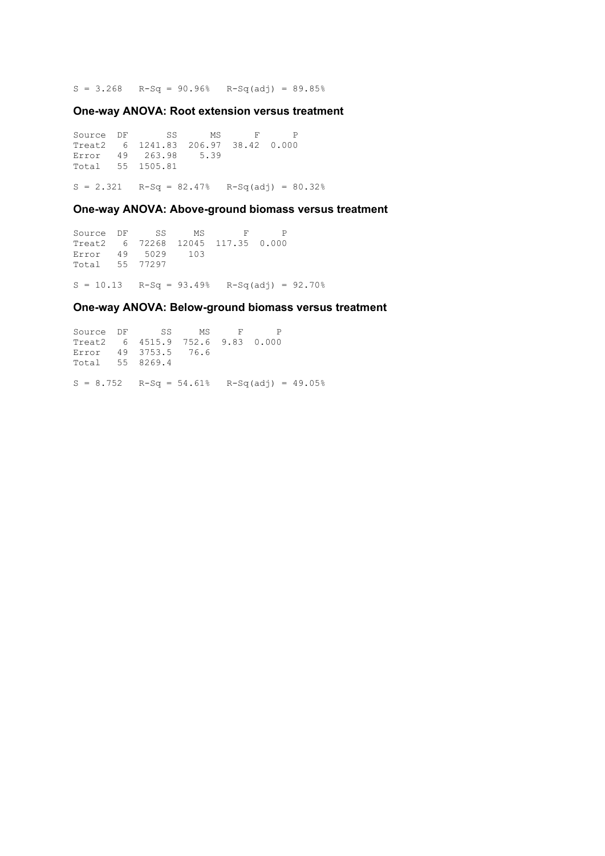$S = 3.268$  R-Sq = 90.96% R-Sq(adj) = 89.85%

# **One-way ANOVA: Root extension versus treatment**

Source DF SS MS F P Treat2 6 1241.83 206.97 38.42 0.000 Error 49 263.98 5.39 Total 55 1505.81  $S = 2.321$  R-Sq = 82.47% R-Sq(adj) = 80.32%

## **One-way ANOVA: Above-ground biomass versus treatment**

Source DF SS MS F P Treat2 6 72268 12045 117.35 0.000 Error 49 5029 103 Total 55 77297  $S = 10.13$  R-Sq = 93.49% R-Sq(adj) = 92.70%

## **One-way ANOVA: Below-ground biomass versus treatment**

Source DF SS MS F P Treat2 6 4515.9 752.6 9.83 0.000 Error 49 3753.5 76.6 Total 55 8269.4  $S = 8.752$  R-Sq = 54.61% R-Sq(adj) = 49.05%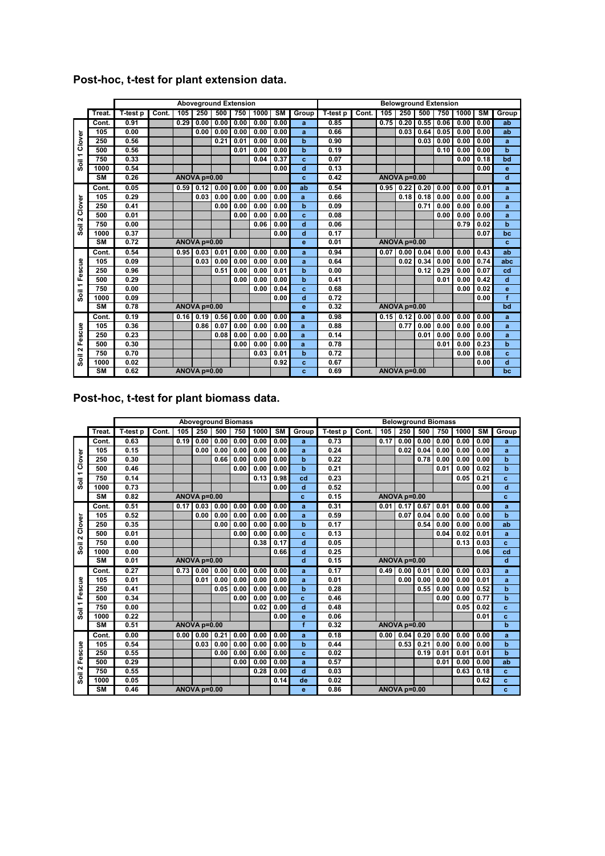|                                |           |          |       |      |              | <b>Aboveground Extension</b> |      |      |           |                |          |              |      | <b>Belowground Extension</b> |      |      |      |                          |       |
|--------------------------------|-----------|----------|-------|------|--------------|------------------------------|------|------|-----------|----------------|----------|--------------|------|------------------------------|------|------|------|--------------------------|-------|
|                                | Treat.    | T-test p | Cont. | 105  | 250          | 500                          | 750  | 1000 | <b>SM</b> | Group          | T-test p | Cont.        | 105  | 250                          | 500  | 750  | 1000 | $\overline{\mathsf{sm}}$ | Group |
|                                | Cont.     | 0.91     |       | 0.29 | 0.00         | 0.00                         | 0.00 | 0.00 | 0.00      | a              | 0.85     |              | 0.75 | 0.20                         | 0.55 | 0.06 | 0.00 | 0.00                     | ab    |
|                                | 105       | 0.00     |       |      | 0.00         | 0.00                         | 0.00 | 0.00 | 0.00      | a              | 0.66     |              |      | 0.03                         | 0.64 | 0.05 | 0.00 | 0.00                     | ab    |
| Clover                         | 250       | 0.56     |       |      |              | 0.21                         | 0.01 | 0.00 | 0.00      | $\overline{b}$ | 0.90     |              |      |                              | 0.03 | 0.00 | 0.00 | 0.00                     | a     |
| $\overline{ }$                 | 500       | 0.56     |       |      |              |                              | 0.01 | 0.00 | 0.00      | $\mathbf b$    | 0.19     |              |      |                              |      | 0.10 | 0.00 | 0.00                     | b     |
| ᇹ                              | 750       | 0.33     |       |      |              |                              |      | 0.04 | 0.37      | c              | 0.07     |              |      |                              |      |      | 0.00 | 0.18                     | bd    |
| o                              | 1000      | 0.54     |       |      |              |                              |      |      | 0.00      | d              | 0.13     |              |      |                              |      |      |      | 0.00                     | e     |
|                                | <b>SM</b> | 0.26     |       |      | ANOVA p=0.00 |                              |      |      |           | c              | 0.42     |              |      | <b>ANOVA p=0.00</b>          |      |      |      |                          | d     |
|                                | Cont.     | 0.05     |       | 0.59 | 0.12         | 0.00                         | 0.00 | 0.00 | 0.00      | ab             | 0.54     |              | 0.95 | 0.22                         | 0.20 | 0.00 | 0.00 | 0.01                     | a     |
|                                | 105       | 0.29     |       |      | 0.03         | 0.00                         | 0.00 | 0.00 | 0.00      | a              | 0.66     |              |      | 0.18                         | 0.18 | 0.00 | 0.00 | 0.00                     | a     |
| Clover                         | 250       | 0.41     |       |      |              | 0.00                         | 0.00 | 0.00 | 0.00      | $\mathbf b$    | 0.09     |              |      |                              | 0.71 | 0.00 | 0.00 | 0.00                     | a     |
| $\sim$                         | 500       | 0.01     |       |      |              |                              | 0.00 | 0.00 | 0.00      | c              | 0.08     |              |      |                              |      | 0.00 | 0.00 | 0.00                     | a     |
| $\overline{\overline{6}}$      | 750       | 0.00     |       |      |              |                              |      | 0.06 | 0.00      | $\overline{d}$ | 0.06     |              |      |                              |      |      | 0.79 | 0.02                     | b     |
| o                              | 1000      | 0.37     |       |      |              |                              |      |      | 0.00      | d              | 0.17     |              |      |                              |      |      |      | 0.07                     | bc    |
|                                | <b>SM</b> | 0.72     |       |      | ANOVA p=0.00 |                              |      |      |           | e              | 0.01     |              |      | ANOVA p=0.00                 |      |      |      |                          | c     |
|                                | Cont.     | 0.54     |       | 0.95 | 0.03         | 0.01                         | 0.00 | 0.00 | 0.00      | a              | 0.94     |              | 0.07 | 0.00                         | 0.04 | 0.00 | 0.00 | 0.43                     | ab    |
| scue                           | 105       | 0.09     |       |      | 0.03         | 0.00                         | 0.00 | 0.00 | 0.00      | a              | 0.64     |              |      | 0.02                         | 0.34 | 0.00 | 0.00 | 0.74                     | abc   |
| ة                              | 250       | 0.96     |       |      |              | 0.51                         | 0.00 | 0.00 | 0.01      | b              | 0.00     |              |      |                              | 0.12 | 0.29 | 0.00 | 0.07                     | cd    |
| шī                             | 500       | 0.29     |       |      |              |                              | 0.00 | 0.00 | 0.00      | $\overline{b}$ | 0.41     |              |      |                              |      | 0.01 | 0.00 | 0.42                     | d     |
| ↽<br>$\overline{\overline{6}}$ | 750       | 0.00     |       |      |              |                              |      | 0.00 | 0.04      | c              | 0.68     |              |      |                              |      |      | 0.00 | 0.02                     | e     |
| Õ.                             | 1000      | 0.09     |       |      |              |                              |      |      | 0.00      | d              | 0.72     |              |      |                              |      |      |      | 0.00                     | f     |
|                                | <b>SM</b> | 0.78     |       |      | ANOVA p=0.00 |                              |      |      |           | e              | 0.32     | ANOVA p=0.00 |      |                              |      |      |      |                          | bd    |
|                                | Cont.     | 0.19     |       | 0.16 | 0.19         | 0.56                         | 0.00 | 0.00 | 0.00      | a              | 0.98     |              | 0.15 | 0.12                         | 0.00 | 0.00 | 0.00 | 0.00                     | a     |
| Fescue                         | 105       | 0.36     |       |      | 0.86         | 0.07                         | 0.00 | 0.00 | 0.00      | a              | 0.88     |              |      | 0.77                         | 0.00 | 0.00 | 0.00 | 0.00                     | a     |
|                                | 250       | 0.23     |       |      |              | 0.08                         | 0.00 | 0.00 | 0.00      | a              | 0.14     |              |      |                              | 0.01 | 0.00 | 0.00 | 0.00                     | a     |
|                                | 500       | 0.30     |       |      |              |                              | 0.00 | 0.00 | 0.00      | a              | 0.78     |              |      |                              |      | 0.01 | 0.00 | 0.23                     | b     |
| $\sim$                         | 750       | 0.70     |       |      |              |                              |      | 0.03 | 0.01      | $\mathbf b$    | 0.72     |              |      |                              |      |      | 0.00 | 0.08                     | c     |
| Soil                           | 1000      | 0.02     |       |      |              |                              |      |      | 0.92      | c              | 0.67     |              |      |                              |      |      |      | 0.00                     | d     |
|                                | <b>SM</b> | 0.62     |       |      | ANOVA p=0.00 |                              |      |      |           | c              | 0.69     |              |      | ANOVA p=0.00                 |      |      |      |                          | bc    |

# **Post-hoc, t-test for plant extension data.**

**Post-hoc, t-test for plant biomass data.**

|                |                        |          |              |                   |              | <b>Aboveground Biomass</b> |      |      |           |                | <b>Belowground Biomass</b> |                     |      |                      |      |      |      |           |                |
|----------------|------------------------|----------|--------------|-------------------|--------------|----------------------------|------|------|-----------|----------------|----------------------------|---------------------|------|----------------------|------|------|------|-----------|----------------|
|                | Treat.                 | T-test p | Cont.        | 105               | 250          | 500                        | 750  | 1000 | <b>SM</b> | Group          | T-test p                   | Cont.               | 105  | 250                  | 500  | 750  | 1000 | <b>SM</b> | Group          |
|                | Cont.                  | 0.63     |              | 0.19              | 0.00         | 0.00                       | 0.00 | 0.00 | 0.00      | a              | 0.73                       |                     | 0.17 | 0.00                 | 0.00 | 0.00 | 0.00 | 0.00      | a              |
|                | 105                    | 0.15     |              |                   | 0.00         | 0.00                       | 0.00 | 0.00 | 0.00      | a              | 0.24                       |                     |      | 0.02                 | 0.04 | 0.00 | 0.00 | 0.00      | a              |
| Clover         | 250                    | 0.30     |              |                   |              | 0.66                       | 0.00 | 0.00 | 0.00      | $\mathbf b$    | 0.22                       |                     |      |                      | 0.78 | 0.00 | 0.00 | 0.00      | $\mathbf b$    |
| $\overline{ }$ | 500                    | 0.46     |              |                   |              |                            | 0.00 | 0.00 | 0.00      | $\overline{b}$ | 0.21                       |                     |      |                      |      | 0.01 | 0.00 | 0.02      | $\overline{b}$ |
| Soil           | 750                    | 0.14     |              |                   |              |                            |      | 0.13 | 0.98      | cd             | 0.23                       |                     |      |                      |      |      | 0.05 | 0.21      | c              |
|                | 1000                   | 0.73     |              |                   |              |                            |      |      | 0.00      | d              | 0.52                       |                     |      |                      |      |      |      | 0.00      | d              |
|                | <b>SM</b>              | 0.82     |              |                   | ANOVA p=0.00 |                            |      |      |           | c              | 0.15                       | ANOVA p=0.00        |      |                      |      |      |      |           | c              |
|                | Cont.                  | 0.51     |              | 0.17              | 0.03         | 0.00                       | 0.00 | 0.00 | 0.00      | a              | 0.31                       |                     |      | $0.01$ 0.17          | 0.67 | 0.01 | 0.00 | 0.00      | a              |
|                | 105                    | 0.52     |              |                   | 0.00         | 0.00                       | 0.00 | 0.00 | 0.00      | a              | 0.59                       |                     |      | 0.07                 | 0.04 | 0.00 | 0.00 | 0.00      | $\overline{b}$ |
| Clover         | 250                    | 0.35     |              |                   |              | 0.00                       | 0.00 | 0.00 | 0.00      | $\overline{b}$ | 0.17                       |                     |      |                      | 0.54 | 0.00 | 0.00 | 0.00      | ab             |
| $\sim$         | 500                    | 0.01     |              |                   |              |                            | 0.00 | 0.00 | 0.00      | c              | 0.13                       |                     |      |                      |      | 0.04 | 0.02 | 0.01      | a              |
| Soil           | 750                    | 0.00     |              |                   |              |                            |      | 0.38 | 0.17      | d              | 0.05                       |                     |      |                      |      |      | 0.13 | 0.03      | c              |
|                | 1000                   | 0.00     |              |                   |              |                            |      |      | 0.66      | d              | 0.25                       |                     |      |                      |      |      |      | 0.06      | cd             |
|                | $\overline{\text{SM}}$ | 0.01     | ANOVA p=0.00 |                   |              |                            |      |      |           | d              | 0.15                       | <b>ANOVA p=0.00</b> |      |                      |      |      |      |           | d              |
|                | Cont.                  | 0.27     |              | 0.73              | 0.00         | 0.00                       | 0.00 | 0.00 | 0.00      | a              | 0.17                       |                     |      | $0.49$ $0.00$ $0.01$ |      | 0.00 | 0.00 | 0.03      | a              |
|                | 105                    | 0.01     |              |                   | 0.01         | 0.00                       | 0.00 | 0.00 | 0.00      | a              | 0.01                       |                     |      | 0.00                 | 0.00 | 0.00 | 0.00 | 0.01      | a              |
| 1 Fescue       | 250                    | 0.41     |              |                   |              | 0.05                       | 0.00 | 0.00 | 0.00      | b              | 0.28                       |                     |      |                      | 0.55 | 0.00 | 0.00 | 0.52      | $\mathbf b$    |
|                | 500                    | 0.34     |              |                   |              |                            | 0.00 | 0.00 | 0.00      | $\mathbf{c}$   | 0.46                       |                     |      |                      |      | 0.00 | 0.00 | 0.77      | $\mathbf b$    |
| <b>Soll</b>    | 750                    | 0.00     |              |                   |              |                            |      | 0.02 | 0.00      | d              | 0.48                       |                     |      |                      |      |      | 0.05 | 0.02      | c              |
|                | 1000                   | 0.22     |              |                   |              |                            |      |      | 0.00      | e              | 0.06                       |                     |      |                      |      |      |      | 0.01      | c.             |
|                | <b>SM</b>              | 0.51     |              |                   | ANOVA p=0.00 |                            |      |      |           |                | Ŧ<br>ANOVA p=0.00<br>0.32  |                     |      |                      |      |      |      |           | $\mathbf b$    |
|                | Cont.                  | 0.00     |              | 0.00 <sub>l</sub> | 0.00         | 0.21                       | 0.00 | 0.00 | 0.00      | a              | 0.18                       |                     | 0.00 | $0.04$ $0.20$        |      | 0.00 | 0.00 | 0.00      | a              |
|                | 105                    | 0.54     |              |                   | 0.03         | 0.00                       | 0.00 | 0.00 | 0.00      | b              | 0.44                       |                     |      | 0.53                 | 0.21 | 0.00 | 0.00 | 0.00      | b              |
| Fescue         | 250                    | 0.55     |              |                   |              | 0.00                       | 0.00 | 0.00 | 0.00      | c              | 0.02                       |                     |      |                      | 0.19 | 0.01 | 0.01 | 0.01      | $\overline{b}$ |
| $\sim$         | 500                    | 0.29     |              |                   |              |                            | 0.00 | 0.00 | 0.00      | a              | 0.57                       |                     |      |                      |      | 0.01 | 0.00 | 0.00      | ab             |
|                | 750                    | 0.55     |              |                   |              |                            |      | 0.28 | 0.00      | d              | 0.03                       |                     |      |                      |      |      | 0.63 | 0.18      | c              |
| $\overline{5}$ | 1000                   | 0.05     |              |                   |              |                            |      |      | 0.14      | de             | 0.02                       |                     |      |                      |      |      |      | 0.62      | c              |
|                | <b>SM</b>              | 0.46     |              |                   | ANOVA p=0.00 |                            |      |      |           | e              | 0.86                       | ANOVA p=0.00        |      |                      |      |      |      | c         |                |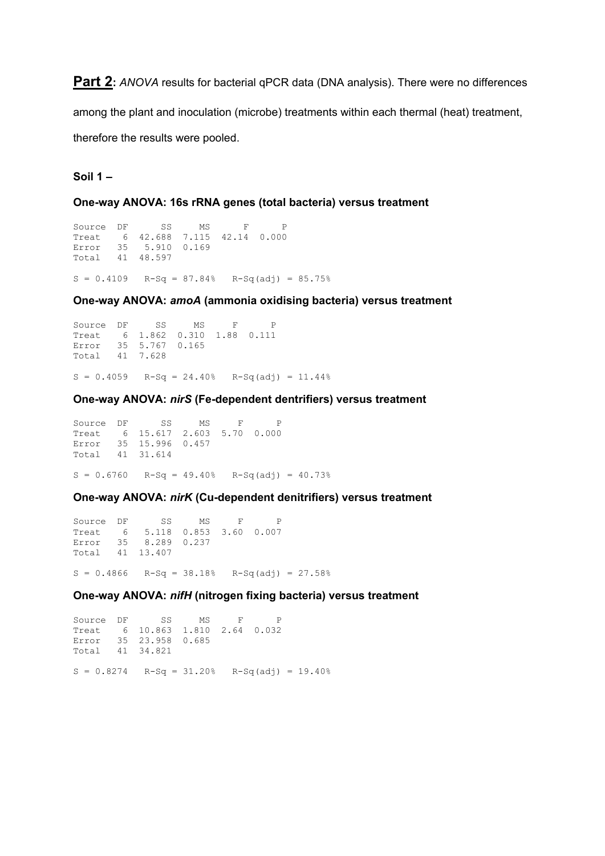**Part 2:** ANOVA results for bacterial qPCR data (DNA analysis). There were no differences

among the plant and inoculation (microbe) treatments within each thermal (heat) treatment, therefore the results were pooled.

# **Soil 1 –**

**One-way ANOVA: 16s rRNA genes (total bacteria) versus treatment**

```
Source DF SS MS F P
Treat 6 42.688 7.115 42.14 0.000
Error 35 5.910 0.169
Total 41 48.597
S = 0.4109 R-Sq = 87.84% R-Sq(adj) = 85.75%
```
**One-way ANOVA:** *amoA* **(ammonia oxidising bacteria) versus treatment**

```
Source DF SS MS F P
Treat 6 1.862 0.310 1.88 0.111
Error 35 5.767 0.165
Total 41 7.628
S = 0.4059 R-Sq = 24.40% R-Sq(adj) = 11.44%
```
**One-way ANOVA:** *nirS* **(Fe-dependent dentrifiers) versus treatment**

Source DF SS MS F P Treat 6 15.617 2.603 5.70 0.000 Error 35 15.996 0.457 Total 41 31.614  $S = 0.6760$  R-Sq = 49.40% R-Sq(adj) = 40.73%

**One-way ANOVA:** *nirK* **(Cu-dependent denitrifiers) versus treatment**

```
Source DF SS MS F P
Treat 6 5.118 0.853 3.60 0.007
Error 35 8.289 0.237
Total 41 13.407
S = 0.4866 R-Sq = 38.18% R-Sq(adj) = 27.58%
```
**One-way ANOVA:** *nifH* **(nitrogen fixing bacteria) versus treatment**

Source DF SS MS F P Treat 6 10.863 1.810 2.64 0.032 Error 35 23.958 0.685 Total 41 34.821  $S = 0.8274$  R-Sq = 31.20% R-Sq(adj) = 19.40%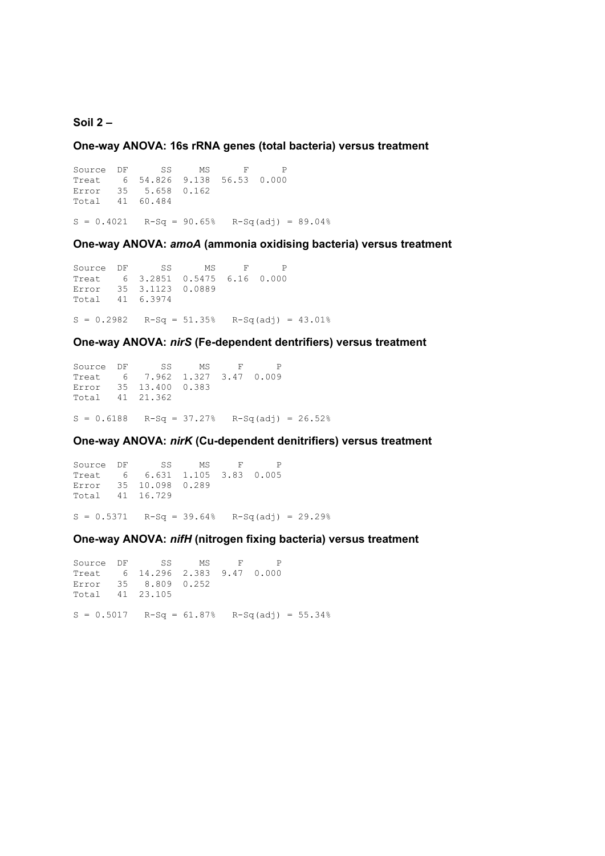# **Soil 2 –**

**One-way ANOVA: 16s rRNA genes (total bacteria) versus treatment**

Source DF SS MS F P Treat 6 54.826 9.138 56.53 0.000 Error 35 5.658 0.162 Total 41 60.484

 $S = 0.4021$  R-Sq = 90.65% R-Sq(adj) = 89.04%

**One-way ANOVA:** *amoA* **(ammonia oxidising bacteria) versus treatment**

Source DF SS MS F P Treat 6 3.2851 0.5475 6.16 0.000 Error 35 3.1123 0.0889 Total 41 6.3974  $S = 0.2982$  R-Sq = 51.35% R-Sq(adj) = 43.01%

**One-way ANOVA:** *nirS* **(Fe-dependent dentrifiers) versus treatment**

Source DF SS MS F P Treat 6 7.962 1.327 3.47 0.009 Error 35 13.400 0.383 Total 41 21.362  $S = 0.6188$  R-Sq = 37.27% R-Sq(adj) = 26.52%

# **One-way ANOVA:** *nirK* **(Cu-dependent denitrifiers) versus treatment**

Source DF SS MS F P Treat 6 6.631 1.105 3.83 0.005 Error 35 10.098 0.289 Total 41 16.729

 $S = 0.5371$  R-Sq = 39.64% R-Sq(adj) = 29.29%

# **One-way ANOVA:** *nifH* **(nitrogen fixing bacteria) versus treatment**

Source DF SS MS F P Treat 6 14.296 2.383 9.47 0.000 Error 35 8.809 0.252 Total 41 23.105  $S = 0.5017$  R-Sq = 61.87% R-Sq(adj) = 55.34%